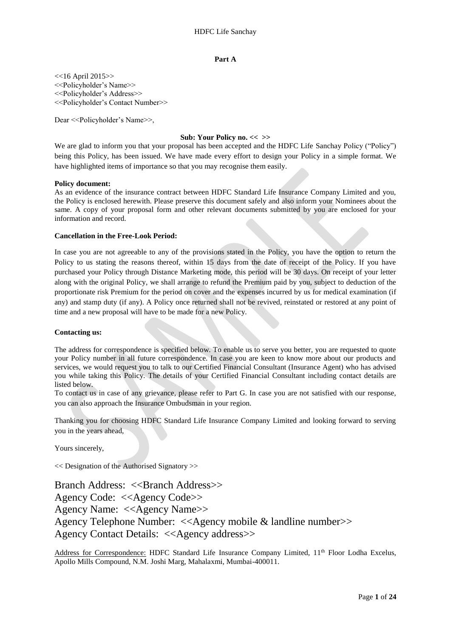## **Part A**

 $<<$ 16 April 2015>> <<Policyholder's Name>> <<Policyholder's Address>> <<Policyholder's Contact Number>>

Dear <<Policyholder's Name>>,

## **Sub: Your Policy no. << >>**

We are glad to inform you that your proposal has been accepted and the HDFC Life Sanchay Policy ("Policy") being this Policy, has been issued. We have made every effort to design your Policy in a simple format. We have highlighted items of importance so that you may recognise them easily.

## **Policy document:**

As an evidence of the insurance contract between HDFC Standard Life Insurance Company Limited and you, the Policy is enclosed herewith. Please preserve this document safely and also inform your Nominees about the same. A copy of your proposal form and other relevant documents submitted by you are enclosed for your information and record.

## **Cancellation in the Free-Look Period:**

In case you are not agreeable to any of the provisions stated in the Policy, you have the option to return the Policy to us stating the reasons thereof, within 15 days from the date of receipt of the Policy. If you have purchased your Policy through Distance Marketing mode, this period will be 30 days. On receipt of your letter along with the original Policy, we shall arrange to refund the Premium paid by you, subject to deduction of the proportionate risk Premium for the period on cover and the expenses incurred by us for medical examination (if any) and stamp duty (if any). A Policy once returned shall not be revived, reinstated or restored at any point of time and a new proposal will have to be made for a new Policy.

## **Contacting us:**

The address for correspondence is specified below. To enable us to serve you better, you are requested to quote your Policy number in all future correspondence. In case you are keen to know more about our products and services, we would request you to talk to our Certified Financial Consultant (Insurance Agent) who has advised you while taking this Policy. The details of your Certified Financial Consultant including contact details are listed below.

To contact us in case of any grievance, please refer to Part G. In case you are not satisfied with our response, you can also approach the Insurance Ombudsman in your region.

Thanking you for choosing HDFC Standard Life Insurance Company Limited and looking forward to serving you in the years ahead,

Yours sincerely,

<< Designation of the Authorised Signatory >>

Branch Address: <<Branch Address>> Agency Code: <<Agency Code>> Agency Name: <<Agency Name>> Agency Telephone Number: <<Agency mobile & landline number>> Agency Contact Details: <<Agency address>>

Address for Correspondence: HDFC Standard Life Insurance Company Limited, 11<sup>th</sup> Floor Lodha Excelus, Apollo Mills Compound, N.M. Joshi Marg, Mahalaxmi, Mumbai-400011.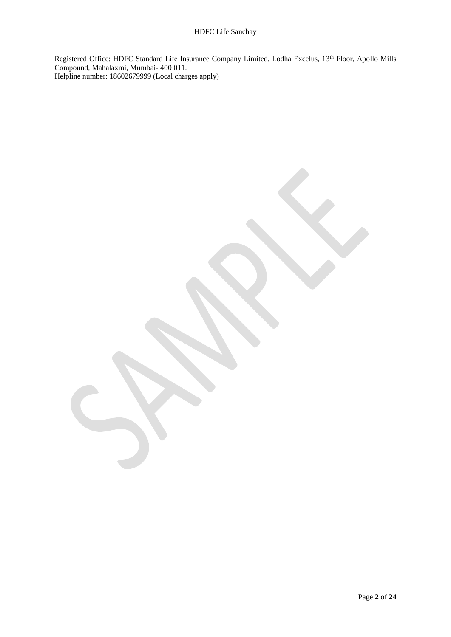Registered Office: HDFC Standard Life Insurance Company Limited, Lodha Excelus, 13<sup>th</sup> Floor, Apollo Mills Compound, Mahalaxmi, Mumbai- 400 011. Helpline number: 18602679999 (Local charges apply)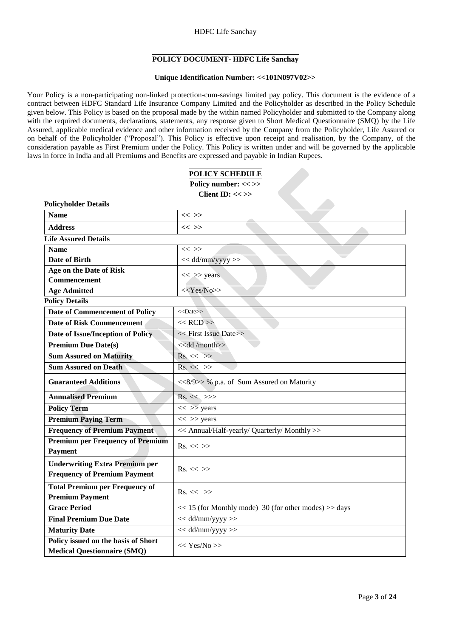## HDFC Life Sanchay

## **POLICY DOCUMENT- HDFC Life Sanchay**

## **Unique Identification Number: <<101N097V02>>**

Your Policy is a non-participating non-linked protection-cum-savings limited pay policy. This document is the evidence of a contract between HDFC Standard Life Insurance Company Limited and the Policyholder as described in the Policy Schedule given below. This Policy is based on the proposal made by the within named Policyholder and submitted to the Company along with the required documents, declarations, statements, any response given to Short Medical Questionnaire (SMQ) by the Life Assured, applicable medical evidence and other information received by the Company from the Policyholder, Life Assured or on behalf of the Policyholder ("Proposal"). This Policy is effective upon receipt and realisation, by the Company, of the consideration payable as First Premium under the Policy. This Policy is written under and will be governed by the applicable laws in force in India and all Premiums and Benefits are expressed and payable in Indian Rupees.

**POLICY SCHEDULE** 

| томет веньюсь<br>Policy number: << >>                                        |                                                           |  |  |  |  |  |
|------------------------------------------------------------------------------|-----------------------------------------------------------|--|--|--|--|--|
| Client ID: $<<$ >>                                                           |                                                           |  |  |  |  |  |
| <b>Policyholder Details</b>                                                  |                                                           |  |  |  |  |  |
| <b>Name</b>                                                                  | $<<$ >>                                                   |  |  |  |  |  |
| <b>Address</b>                                                               | $<<$ >>                                                   |  |  |  |  |  |
| <b>Life Assured Details</b>                                                  |                                                           |  |  |  |  |  |
| <b>Name</b>                                                                  | $<<$ >>                                                   |  |  |  |  |  |
| <b>Date of Birth</b>                                                         | << dd/mm/yyyy >>                                          |  |  |  |  |  |
| Age on the Date of Risk                                                      |                                                           |  |  |  |  |  |
| Commencement                                                                 | $<<$ >> years                                             |  |  |  |  |  |
| <b>Age Admitted</b>                                                          | < <yes no="">&gt;</yes>                                   |  |  |  |  |  |
| <b>Policy Details</b>                                                        |                                                           |  |  |  |  |  |
| Date of Commencement of Policy                                               | $<<$ Date $>>$                                            |  |  |  |  |  |
| <b>Date of Risk Commencement</b>                                             | $<<$ RCD $>>$                                             |  |  |  |  |  |
| Date of Issue/Inception of Policy                                            | << First Issue Date>>                                     |  |  |  |  |  |
| <b>Premium Due Date(s)</b>                                                   | < <dd month="">&gt;</dd>                                  |  |  |  |  |  |
| <b>Sum Assured on Maturity</b>                                               | $Rs. \ll \gg$                                             |  |  |  |  |  |
| <b>Sum Assured on Death</b>                                                  | $Rs. \ll \gg$                                             |  |  |  |  |  |
| <b>Guaranteed Additions</b>                                                  | <<8/9>> % p.a. of Sum Assured on Maturity                 |  |  |  |  |  |
| <b>Annualised Premium</b>                                                    | $Rs. \ll \gg>$                                            |  |  |  |  |  |
| <b>Policy Term</b>                                                           | $<<$ >> years                                             |  |  |  |  |  |
| <b>Premium Paying Term</b>                                                   | $<<$ >> years                                             |  |  |  |  |  |
| <b>Frequency of Premium Payment</b>                                          | << Annual/Half-yearly/ Quarterly/ Monthly >>              |  |  |  |  |  |
| <b>Premium per Frequency of Premium</b><br>Payment                           | $Rs. \ll \gg$                                             |  |  |  |  |  |
| <b>Underwriting Extra Premium per</b><br><b>Frequency of Premium Payment</b> | $Rs. \ll \gg$                                             |  |  |  |  |  |
| <b>Total Premium per Frequency of</b><br><b>Premium Payment</b>              | $Rs. \ll \gg$                                             |  |  |  |  |  |
| <b>Grace Period</b>                                                          | $<< 15$ (for Monthly mode) 30 (for other modes) $>>$ days |  |  |  |  |  |
| <b>Final Premium Due Date</b>                                                | $<<$ dd/mm/yyyy >>                                        |  |  |  |  |  |
| <b>Maturity Date</b>                                                         | $<<$ dd/mm/yyyy $>>$                                      |  |  |  |  |  |
| Policy issued on the basis of Short<br><b>Medical Questionnaire (SMQ)</b>    | << Yes/No>>                                               |  |  |  |  |  |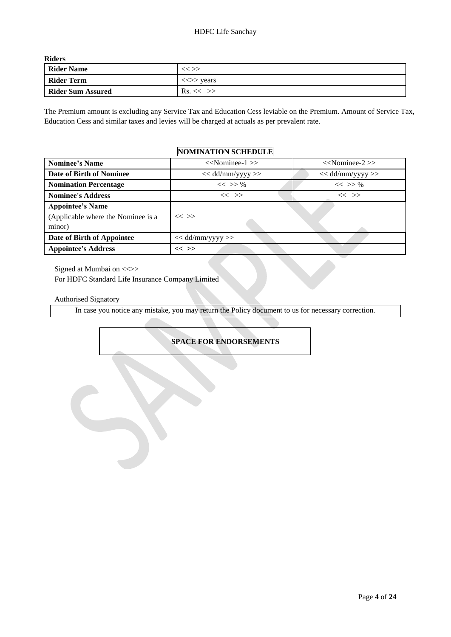**Riders** 

| <b>Rider Name</b>        | $<<$ >>                                 |
|--------------------------|-----------------------------------------|
| <b>Rider Term</b>        | $\langle \langle \rangle \rangle$ years |
| <b>Rider Sum Assured</b> | $\text{Rs.}<<$ >>                       |

The Premium amount is excluding any Service Tax and Education Cess leviable on the Premium. Amount of Service Tax, Education Cess and similar taxes and levies will be charged at actuals as per prevalent rate.

# **NOMINATION SCHEDULE**

| <b>Nominee's Name</b>                                                   | $<<$ Nominee-1 $>>$  | $<<$ Nominee-2 $>>$ |
|-------------------------------------------------------------------------|----------------------|---------------------|
| Date of Birth of Nominee                                                | $<<$ dd/mm/yyyy >>   | $<<$ dd/mm/yyyy >>  |
| <b>Nomination Percentage</b>                                            | $<<$ >> %            | $<<$ >> %           |
| <b>Nominee's Address</b>                                                | $<<$ >>              | $<<$ >>             |
| <b>Appointee's Name</b><br>(Applicable where the Nominee is a<br>minor) | $<<$ >>              |                     |
| Date of Birth of Appointee                                              | $<<$ dd/mm/yyyy $>>$ |                     |
| <b>Appointee's Address</b>                                              | $<<$ >>              |                     |

Signed at Mumbai on  $\ll\gg$ 

For HDFC Standard Life Insurance Company Limited

Authorised Signatory

In case you notice any mistake, you may return the Policy document to us for necessary correction.

# **SPACE FOR ENDORSEMENTS**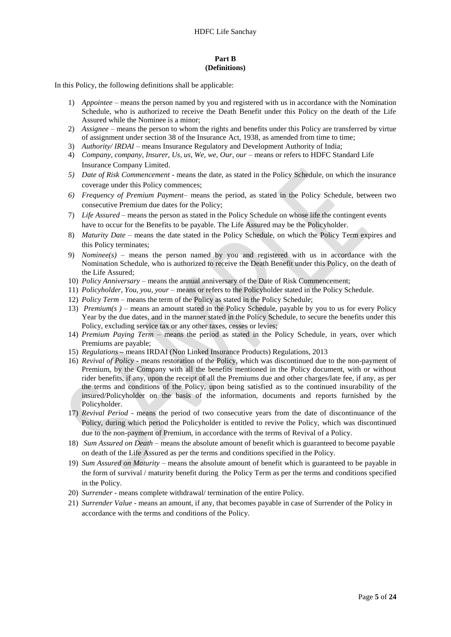## **Part B (Definitions)**

In this Policy, the following definitions shall be applicable:

- 1) *Appointee –* means the person named by you and registered with us in accordance with the Nomination Schedule, who is authorized to receive the Death Benefit under this Policy on the death of the Life Assured while the Nominee is a minor;
- 2) *Assignee*  means the person to whom the rights and benefits under this Policy are transferred by virtue of assignment under section 38 of the Insurance Act, 1938, as amended from time to time;
- 3) *Authority/ IRDAI* means Insurance Regulatory and Development Authority of India;
- 4) *Company, company, Insurer, Us, us, We, we, Our, our*  means or refers to HDFC Standard Life Insurance Company Limited.
- *5) Date of Risk Commencement -* means the date, as stated in the Policy Schedule, on which the insurance coverage under this Policy commences;
- *6) Frequency of Premium Payment* means the period, as stated in the Policy Schedule, between two consecutive Premium due dates for the Policy;
- 7) *Life Assured* means the person as stated in the Policy Schedule on whose life the contingent events have to occur for the Benefits to be payable. The Life Assured may be the Policyholder.
- 8) *Maturity Date* means the date stated in the Policy Schedule, on which the Policy Term expires and this Policy terminates;
- 9) *Nominee(s)*  means the person named by you and registered with us in accordance with the Nomination Schedule, who is authorized to receive the Death Benefit under this Policy, on the death of the Life Assured;
- 10) *Policy Anniversary*  means the annual anniversary of the Date of Risk Commencement;
- 11) *Policyholder, You, you, your* means or refers to the Policyholder stated in the Policy Schedule.
- 12) *Policy Term*  means the term of the Policy as stated in the Policy Schedule;
- 13) *Premium(s )* means an amount stated in the Policy Schedule, payable by you to us for every Policy Year by the due dates, and in the manner stated in the Policy Schedule, to secure the benefits under this Policy, excluding service tax or any other taxes, cesses or levies;
- 14) *Premium Paying Term –* means the period as stated in the Policy Schedule, in years, over which Premiums are payable;
- 15) *Regulations* **–** means IRDAI (Non Linked Insurance Products) Regulations, 2013
- 16) *Revival of Policy* means restoration of the Policy, which was discontinued due to the non-payment of Premium, by the Company with all the benefits mentioned in the Policy document, with or without rider benefits, if any, upon the receipt of all the Premiums due and other charges/late fee, if any, as per the terms and conditions of the Policy, upon being satisfied as to the continued insurability of the insured/Policyholder on the basis of the information, documents and reports furnished by the Policyholder.
- 17) *Revival Period*  means the period of two consecutive years from the date of discontinuance of the Policy, during which period the Policyholder is entitled to revive the Policy, which was discontinued due to the non-payment of Premium, in accordance with the terms of Revival of a Policy.
- 18) *Sum Assured on Death*  means the absolute amount of benefit which is guaranteed to become payable on death of the Life Assured as per the terms and conditions specified in the Policy.
- 19) *Sum Assured on Maturity* means the absolute amount of benefit which is guaranteed to be payable in the form of survival / maturity benefit during the Policy Term as per the terms and conditions specified in the Policy.
- 20) *Surrender* means complete withdrawal/ termination of the entire Policy.
- 21) *Surrender Value* means an amount, if any, that becomes payable in case of Surrender of the Policy in accordance with the terms and conditions of the Policy.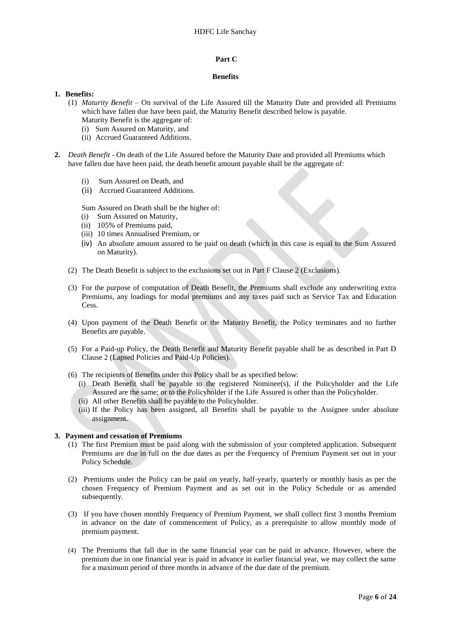#### **Part C**

#### **Benefits**

#### **1. Benefits:**

- (1) *Maturity Benefit* On survival of the Life Assured till the Maturity Date and provided all Premiums which have fallen due have been paid, the Maturity Benefit described below is payable.
	- Maturity Benefit is the aggregate of: (i) Sum Assured on Maturity, and
	- (ii) Accrued Guaranteed Additions.
- 
- **2.** *Death Benefit* On death of the Life Assured before the Maturity Date and provided all Premiums which have fallen due have been paid, the death benefit amount payable shall be the aggregate of:
	- (i) Sum Assured on Death, and
	- (ii) Accrued Guaranteed Additions.

Sum Assured on Death shall be the higher of:

- (i) Sum Assured on Maturity,
- (ii) 105% of Premiums paid,
- (iii) 10 times Annualised Premium, or
- (iv) An absolute amount assured to be paid on death (which in this case is equal to the Sum Assured on Maturity).
- (2) The Death Benefit is subject to the exclusions set out in Part F Clause 2 (Exclusions).
- (3) For the purpose of computation of Death Benefit, the Premiums shall exclude any underwriting extra Premiums, any loadings for modal premiums and any taxes paid such as Service Tax and Education Cess.
- (4) Upon payment of the Death Benefit or the Maturity Benefit, the Policy terminates and no further Benefits are payable.
- (5) For a Paid-up Policy, the Death Benefit and Maturity Benefit payable shall be as described in Part D Clause 2 (Lapsed Policies and Paid-Up Policies).
- (6) The recipients of Benefits under this Policy shall be as specified below:
	- (i) Death Benefit shall be payable to the registered Nominee(s), if the Policyholder and the Life Assured are the same; or to the Policyholder if the Life Assured is other than the Policyholder.
	- (ii) All other Benefits shall be payable to the Policyholder.
	- (iii) If the Policy has been assigned, all Benefits shall be payable to the Assignee under absolute assignment.

#### **3. Payment and cessation of Premiums**

- (1) The first Premium must be paid along with the submission of your completed application. Subsequent Premiums are due in full on the due dates as per the Frequency of Premium Payment set out in your Policy Schedule.
- (2) Premiums under the Policy can be paid on yearly, half-yearly, quarterly or monthly basis as per the chosen Frequency of Premium Payment and as set out in the Policy Schedule or as amended subsequently.
- (3) If you have chosen monthly Frequency of Premium Payment, we shall collect first 3 months Premium in advance on the date of commencement of Policy, as a prerequisite to allow monthly mode of premium payment.
- (4) The Premiums that fall due in the same financial year can be paid in advance. However, where the premium due in one financial year is paid in advance in earlier financial year, we may collect the same for a maximum period of three months in advance of the due date of the premium.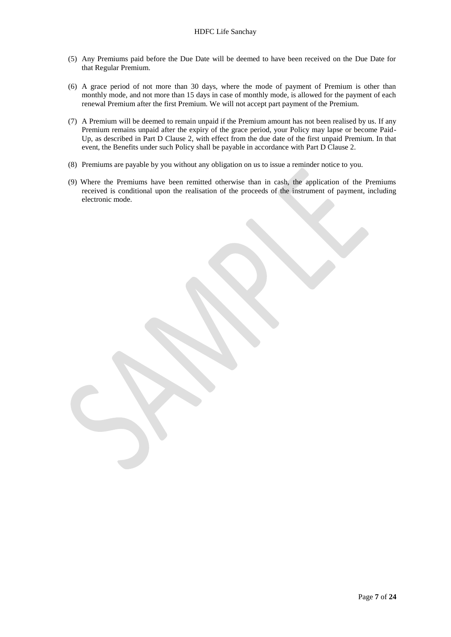- (5) Any Premiums paid before the Due Date will be deemed to have been received on the Due Date for that Regular Premium.
- (6) A grace period of not more than 30 days, where the mode of payment of Premium is other than monthly mode, and not more than 15 days in case of monthly mode, is allowed for the payment of each renewal Premium after the first Premium. We will not accept part payment of the Premium.
- (7) A Premium will be deemed to remain unpaid if the Premium amount has not been realised by us. If any Premium remains unpaid after the expiry of the grace period, your Policy may lapse or become Paid-Up, as described in Part D Clause 2, with effect from the due date of the first unpaid Premium. In that event, the Benefits under such Policy shall be payable in accordance with Part D Clause 2.
- (8) Premiums are payable by you without any obligation on us to issue a reminder notice to you.
- (9) Where the Premiums have been remitted otherwise than in cash, the application of the Premiums received is conditional upon the realisation of the proceeds of the instrument of payment, including electronic mode.

Page **7** of **24**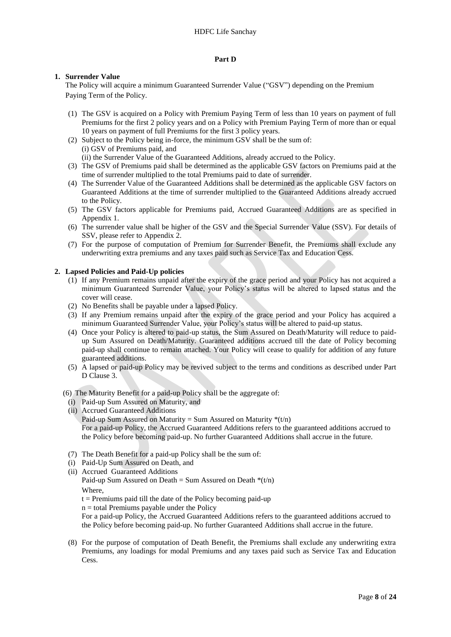## **Part D**

## **1. Surrender Value**

The Policy will acquire a minimum Guaranteed Surrender Value ("GSV") depending on the Premium Paying Term of the Policy.

- (1) The GSV is acquired on a Policy with Premium Paying Term of less than 10 years on payment of full Premiums for the first 2 policy years and on a Policy with Premium Paying Term of more than or equal 10 years on payment of full Premiums for the first 3 policy years.
- (2) Subject to the Policy being in-force, the minimum GSV shall be the sum of: (i) GSV of Premiums paid, and (ii) the Surrender Value of the Guaranteed Additions, already accrued to the Policy.
- (3) The GSV of Premiums paid shall be determined as the applicable GSV factors on Premiums paid at the time of surrender multiplied to the total Premiums paid to date of surrender.
- (4) The Surrender Value of the Guaranteed Additions shall be determined as the applicable GSV factors on Guaranteed Additions at the time of surrender multiplied to the Guaranteed Additions already accrued to the Policy.
- (5) The GSV factors applicable for Premiums paid, Accrued Guaranteed Additions are as specified in Appendix 1.
- (6) The surrender value shall be higher of the GSV and the Special Surrender Value (SSV). For details of SSV, please refer to Appendix 2.
- (7) For the purpose of computation of Premium for Surrender Benefit, the Premiums shall exclude any underwriting extra premiums and any taxes paid such as Service Tax and Education Cess.

## **2. Lapsed Policies and Paid-Up policies**

- (1) If any Premium remains unpaid after the expiry of the grace period and your Policy has not acquired a minimum Guaranteed Surrender Value, your Policy's status will be altered to lapsed status and the cover will cease.
- (2) No Benefits shall be payable under a lapsed Policy.
- (3) If any Premium remains unpaid after the expiry of the grace period and your Policy has acquired a minimum Guaranteed Surrender Value, your Policy's status will be altered to paid-up status.
- (4) Once your Policy is altered to paid-up status, the Sum Assured on Death/Maturity will reduce to paidup Sum Assured on Death/Maturity. Guaranteed additions accrued till the date of Policy becoming paid-up shall continue to remain attached. Your Policy will cease to qualify for addition of any future guaranteed additions.
- (5) A lapsed or paid-up Policy may be revived subject to the terms and conditions as described under Part D Clause 3.

## (6) The Maturity Benefit for a paid-up Policy shall be the aggregate of:

- (i) Paid-up Sum Assured on Maturity, and
- (ii) Accrued Guaranteed Additions Paid-up Sum Assured on Maturity = Sum Assured on Maturity  $*(t/n)$ For a paid-up Policy, the Accrued Guaranteed Additions refers to the guaranteed additions accrued to the Policy before becoming paid-up. No further Guaranteed Additions shall accrue in the future.
- (7) The Death Benefit for a paid-up Policy shall be the sum of:
- (i) Paid-Up Sum Assured on Death, and
- (ii) Accrued Guaranteed Additions
	- Paid-up Sum Assured on Death = Sum Assured on Death  $*(t/n)$ Where,
	- $t =$  Premiums paid till the date of the Policy becoming paid-up
	- $n =$  total Premiums payable under the Policy

For a paid-up Policy, the Accrued Guaranteed Additions refers to the guaranteed additions accrued to the Policy before becoming paid-up. No further Guaranteed Additions shall accrue in the future.

(8) For the purpose of computation of Death Benefit, the Premiums shall exclude any underwriting extra Premiums, any loadings for modal Premiums and any taxes paid such as Service Tax and Education Cess.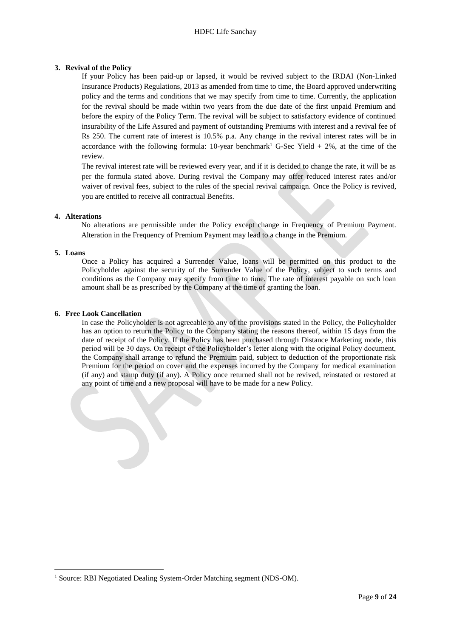## **3. Revival of the Policy**

If your Policy has been paid-up or lapsed, it would be revived subject to the IRDAI (Non-Linked Insurance Products) Regulations, 2013 as amended from time to time, the Board approved underwriting policy and the terms and conditions that we may specify from time to time. Currently, the application for the revival should be made within two years from the due date of the first unpaid Premium and before the expiry of the Policy Term. The revival will be subject to satisfactory evidence of continued insurability of the Life Assured and payment of outstanding Premiums with interest and a revival fee of Rs 250. The current rate of interest is 10.5% p.a. Any change in the revival interest rates will be in accordance with the following formula: 10-year benchmark<sup>1</sup> G-Sec Yield + 2%, at the time of the review.

The revival interest rate will be reviewed every year, and if it is decided to change the rate, it will be as per the formula stated above. During revival the Company may offer reduced interest rates and/or waiver of revival fees, subject to the rules of the special revival campaign. Once the Policy is revived, you are entitled to receive all contractual Benefits.

## **4. Alterations**

No alterations are permissible under the Policy except change in Frequency of Premium Payment. Alteration in the Frequency of Premium Payment may lead to a change in the Premium.

### **5. Loans**

**.** 

Once a Policy has acquired a Surrender Value, loans will be permitted on this product to the Policyholder against the security of the Surrender Value of the Policy, subject to such terms and conditions as the Company may specify from time to time. The rate of interest payable on such loan amount shall be as prescribed by the Company at the time of granting the loan.

#### **6. Free Look Cancellation**

In case the Policyholder is not agreeable to any of the provisions stated in the Policy, the Policyholder has an option to return the Policy to the Company stating the reasons thereof, within 15 days from the date of receipt of the Policy. If the Policy has been purchased through Distance Marketing mode, this period will be 30 days. On receipt of the Policyholder's letter along with the original Policy document, the Company shall arrange to refund the Premium paid, subject to deduction of the proportionate risk Premium for the period on cover and the expenses incurred by the Company for medical examination (if any) and stamp duty (if any). A Policy once returned shall not be revived, reinstated or restored at any point of time and a new proposal will have to be made for a new Policy.

<sup>&</sup>lt;sup>1</sup> Source: RBI Negotiated Dealing System-Order Matching segment (NDS-OM).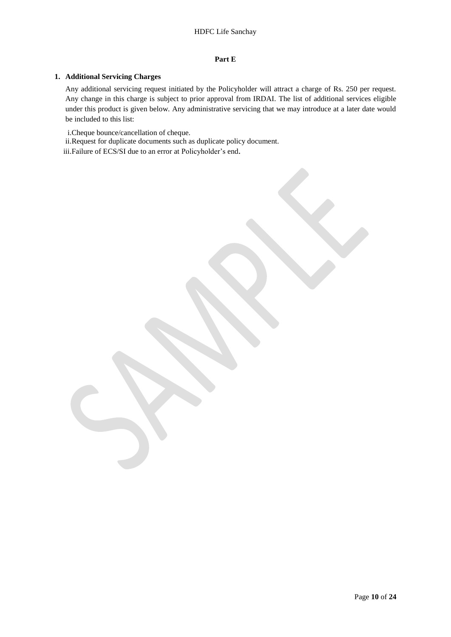## **Part E**

## **1. Additional Servicing Charges**

Any additional servicing request initiated by the Policyholder will attract a charge of Rs. 250 per request. Any change in this charge is subject to prior approval from IRDAI. The list of additional services eligible under this product is given below. Any administrative servicing that we may introduce at a later date would be included to this list:

i.Cheque bounce/cancellation of cheque.

ii.Request for duplicate documents such as duplicate policy document.

iii.Failure of ECS/SI due to an error at Policyholder's end.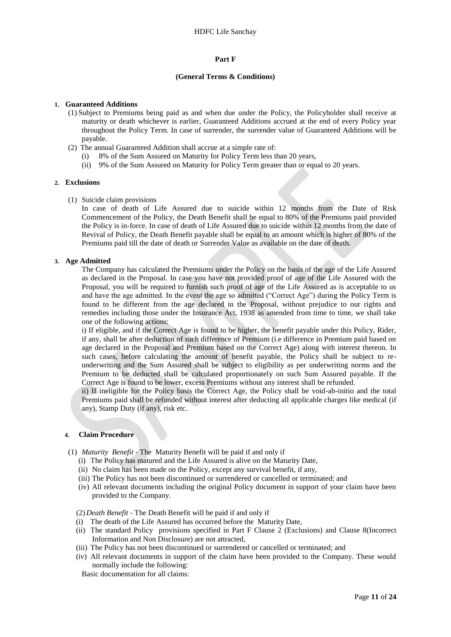### **Part F**

#### **(General Terms & Conditions)**

### **1. Guaranteed Additions**

- (1) Subject to Premiums being paid as and when due under the Policy, the Policyholder shall receive at maturity or death whichever is earlier, Guaranteed Additions accrued at the end of every Policy year throughout the Policy Term. In case of surrender, the surrender value of Guaranteed Additions will be payable.
- (2) The annual Guaranteed Addition shall accrue at a simple rate of:
	- (i) 8% of the Sum Assured on Maturity for Policy Term less than 20 years,
	- (ii) 9% of the Sum Assured on Maturity for Policy Term greater than or equal to 20 years.

#### **2. Exclusions**

(1) Suicide claim provisions

In case of death of Life Assured due to suicide within 12 months from the Date of Risk Commencement of the Policy, the Death Benefit shall be equal to 80% of the Premiums paid provided the Policy is in-force. In case of death of Life Assured due to suicide within 12 months from the date of Revival of Policy, the Death Benefit payable shall be equal to an amount which is higher of 80% of the Premiums paid till the date of death or Surrender Value as available on the date of death.

#### **3. Age Admitted**

The Company has calculated the Premiums under the Policy on the basis of the age of the Life Assured as declared in the Proposal. In case you have not provided proof of age of the Life Assured with the Proposal, you will be required to furnish such proof of age of the Life Assured as is acceptable to us and have the age admitted. In the event the age so admitted ("Correct Age") during the Policy Term is found to be different from the age declared in the Proposal, without prejudice to our rights and remedies including those under the Insurance Act, 1938 as amended from time to time, we shall take one of the following actions:

i) If eligible, and if the Correct Age is found to be higher, the benefit payable under this Policy, Rider, if any, shall be after deduction of such difference of Premium (i.e difference in Premium paid based on age declared in the Proposal and Premium based on the Correct Age) along with interest thereon. In such cases, before calculating the amount of benefit payable, the Policy shall be subject to reunderwriting and the Sum Assured shall be subject to eligibility as per underwriting norms and the Premium to be deducted shall be calculated proportionately on such Sum Assured payable. If the Correct Age is found to be lower, excess Premiums without any interest shall be refunded.

ii) If ineligible for the Policy basis the Correct Age, the Policy shall be void-ab-initio and the total Premiums paid shall be refunded without interest after deducting all applicable charges like medical (if any), Stamp Duty (if any), risk etc.

#### **4. Claim Procedure**

- (1) *Maturity Benefit* The Maturity Benefit will be paid if and only if
	- (i) The Policy has matured and the Life Assured is alive on the Maturity Date,
	- (ii) No claim has been made on the Policy, except any survival benefit, if any,
	- (iii) The Policy has not been discontinued or surrendered or cancelled or terminated; and
	- (iv) All relevant documents including the original Policy document in support of your claim have been provided to the Company.

(2) *Death Benefit -* The Death Benefit will be paid if and only if

- (i) The death of the Life Assured has occurred before the Maturity Date,
- (ii) The standard Policy provisions specified in Part F Clause 2 (Exclusions) and Clause 8(Incorrect Information and Non Disclosure) are not attracted,
- (iii) The Policy has not been discontinued or surrendered or cancelled or terminated; and
- (iv) All relevant documents in support of the claim have been provided to the Company. These would normally include the following:

Basic documentation for all claims: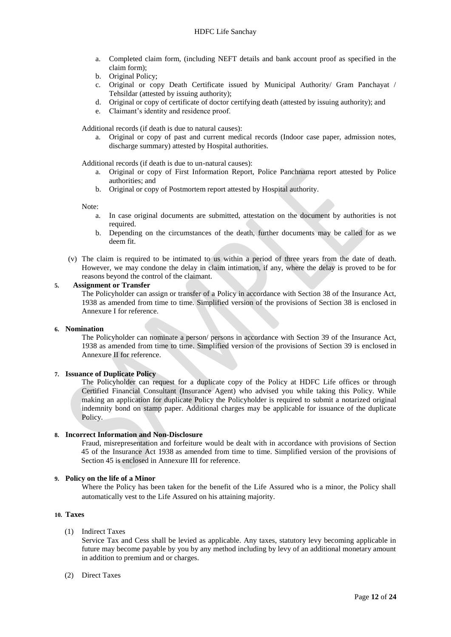- a. Completed claim form, (including NEFT details and bank account proof as specified in the claim form);
- b. Original Policy;
- c. Original or copy Death Certificate issued by Municipal Authority/ Gram Panchayat / Tehsildar (attested by issuing authority);
- d. Original or copy of certificate of doctor certifying death (attested by issuing authority); and
- e. Claimant's identity and residence proof.

Additional records (if death is due to natural causes):

a. Original or copy of past and current medical records (Indoor case paper, admission notes, discharge summary) attested by Hospital authorities.

Additional records (if death is due to un-natural causes):

- a. Original or copy of First Information Report, Police Panchnama report attested by Police authorities; and
- b. Original or copy of Postmortem report attested by Hospital authority.

Note:

- a. In case original documents are submitted, attestation on the document by authorities is not required.
- b. Depending on the circumstances of the death, further documents may be called for as we deem fit.
- (v) The claim is required to be intimated to us within a period of three years from the date of death. However, we may condone the delay in claim intimation, if any, where the delay is proved to be for reasons beyond the control of the claimant.

#### **5. Assignment or Transfer**

The Policyholder can assign or transfer of a Policy in accordance with Section 38 of the Insurance Act, 1938 as amended from time to time. Simplified version of the provisions of Section 38 is enclosed in Annexure I for reference.

#### **6. Nomination**

The Policyholder can nominate a person/ persons in accordance with Section 39 of the Insurance Act, 1938 as amended from time to time. Simplified version of the provisions of Section 39 is enclosed in Annexure II for reference.

#### **7. Issuance of Duplicate Policy**

The Policyholder can request for a duplicate copy of the Policy at HDFC Life offices or through Certified Financial Consultant (Insurance Agent) who advised you while taking this Policy. While making an application for duplicate Policy the Policyholder is required to submit a notarized original indemnity bond on stamp paper. Additional charges may be applicable for issuance of the duplicate Policy.

### **8. Incorrect Information and Non-Disclosure**

Fraud, misrepresentation and forfeiture would be dealt with in accordance with provisions of Section 45 of the Insurance Act 1938 as amended from time to time. Simplified version of the provisions of Section 45 is enclosed in Annexure III for reference.

## **9. Policy on the life of a Minor**

Where the Policy has been taken for the benefit of the Life Assured who is a minor, the Policy shall automatically vest to the Life Assured on his attaining majority.

### **10. Taxes**

## (1) Indirect Taxes

Service Tax and Cess shall be levied as applicable. Any taxes, statutory levy becoming applicable in future may become payable by you by any method including by levy of an additional monetary amount in addition to premium and or charges.

## (2) Direct Taxes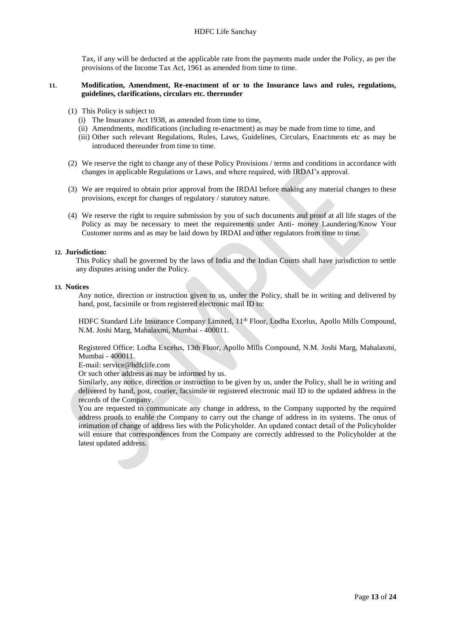Tax, if any will be deducted at the applicable rate from the payments made under the Policy, as per the provisions of the Income Tax Act, 1961 as amended from time to time.

## **11. Modification, Amendment, Re-enactment of or to the Insurance laws and rules, regulations, guidelines, clarifications, circulars etc. thereunder**

- (1) This Policy is subject to
	- (i) The Insurance Act 1938, as amended from time to time,
	- (ii) Amendments, modifications (including re-enactment) as may be made from time to time, and
	- (iii) Other such relevant Regulations, Rules, Laws, Guidelines, Circulars, Enactments etc as may be introduced thereunder from time to time.
- (2) We reserve the right to change any of these Policy Provisions / terms and conditions in accordance with changes in applicable Regulations or Laws, and where required, with IRDAI's approval.
- (3) We are required to obtain prior approval from the IRDAI before making any material changes to these provisions, except for changes of regulatory / statutory nature.
- (4) We reserve the right to require submission by you of such documents and proof at all life stages of the Policy as may be necessary to meet the requirements under Anti- money Laundering/Know Your Customer norms and as may be laid down by IRDAI and other regulators from time to time.

## **12. Jurisdiction:**

This Policy shall be governed by the laws of India and the Indian Courts shall have jurisdiction to settle any disputes arising under the Policy.

#### **13. Notices**

Any notice, direction or instruction given to us, under the Policy, shall be in writing and delivered by hand, post, facsimile or from registered electronic mail ID to:

HDFC Standard Life Insurance Company Limited, 11<sup>th</sup> Floor, Lodha Excelus, Apollo Mills Compound, N.M. Joshi Marg, Mahalaxmi, Mumbai - 400011.

Registered Office: Lodha Excelus, 13th Floor, Apollo Mills Compound, N.M. Joshi Marg, Mahalaxmi, Mumbai - 400011.

E-mail: service@hdfclife.com

Or such other address as may be informed by us.

Similarly, any notice, direction or instruction to be given by us, under the Policy, shall be in writing and delivered by hand, post, courier, facsimile or registered electronic mail ID to the updated address in the records of the Company.

You are requested to communicate any change in address, to the Company supported by the required address proofs to enable the Company to carry out the change of address in its systems. The onus of intimation of change of address lies with the Policyholder. An updated contact detail of the Policyholder will ensure that correspondences from the Company are correctly addressed to the Policyholder at the latest updated address.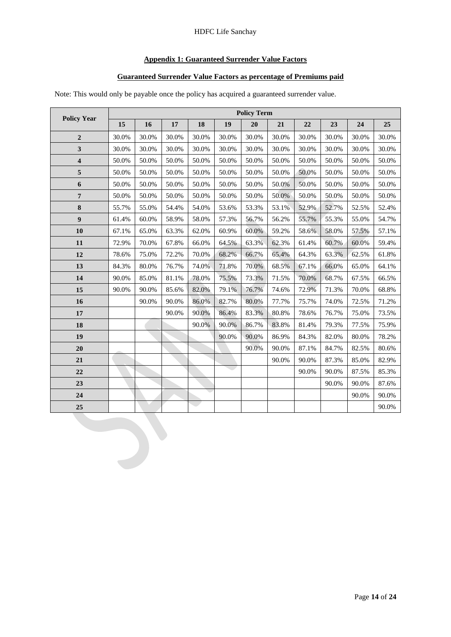## HDFC Life Sanchay

# **Appendix 1: Guaranteed Surrender Value Factors**

## **Guaranteed Surrender Value Factors as percentage of Premiums paid**

Note: This would only be payable once the policy has acquired a guaranteed surrender value.

|                         |       | <b>Policy Term</b> |       |       |       |       |       |       |       |       |       |  |  |
|-------------------------|-------|--------------------|-------|-------|-------|-------|-------|-------|-------|-------|-------|--|--|
| <b>Policy Year</b>      | 15    | 16                 | 17    | 18    | 19    | 20    | 21    | 22    | 23    | 24    | 25    |  |  |
| $\mathbf{2}$            | 30.0% | 30.0%              | 30.0% | 30.0% | 30.0% | 30.0% | 30.0% | 30.0% | 30.0% | 30.0% | 30.0% |  |  |
| 3                       | 30.0% | 30.0%              | 30.0% | 30.0% | 30.0% | 30.0% | 30.0% | 30.0% | 30.0% | 30.0% | 30.0% |  |  |
| $\overline{\mathbf{4}}$ | 50.0% | 50.0%              | 50.0% | 50.0% | 50.0% | 50.0% | 50.0% | 50.0% | 50.0% | 50.0% | 50.0% |  |  |
| $\overline{5}$          | 50.0% | 50.0%              | 50.0% | 50.0% | 50.0% | 50.0% | 50.0% | 50.0% | 50.0% | 50.0% | 50.0% |  |  |
| 6                       | 50.0% | 50.0%              | 50.0% | 50.0% | 50.0% | 50.0% | 50.0% | 50.0% | 50.0% | 50.0% | 50.0% |  |  |
| $\boldsymbol{7}$        | 50.0% | 50.0%              | 50.0% | 50.0% | 50.0% | 50.0% | 50.0% | 50.0% | 50.0% | 50.0% | 50.0% |  |  |
| $\bf 8$                 | 55.7% | 55.0%              | 54.4% | 54.0% | 53.6% | 53.3% | 53.1% | 52.9% | 52.7% | 52.5% | 52.4% |  |  |
| $\boldsymbol{9}$        | 61.4% | 60.0%              | 58.9% | 58.0% | 57.3% | 56.7% | 56.2% | 55.7% | 55.3% | 55.0% | 54.7% |  |  |
| 10                      | 67.1% | 65.0%              | 63.3% | 62.0% | 60.9% | 60.0% | 59.2% | 58.6% | 58.0% | 57.5% | 57.1% |  |  |
| 11                      | 72.9% | 70.0%              | 67.8% | 66.0% | 64.5% | 63.3% | 62.3% | 61.4% | 60.7% | 60.0% | 59.4% |  |  |
| 12                      | 78.6% | 75.0%              | 72.2% | 70.0% | 68.2% | 66.7% | 65.4% | 64.3% | 63.3% | 62.5% | 61.8% |  |  |
| 13                      | 84.3% | 80.0%              | 76.7% | 74.0% | 71.8% | 70.0% | 68.5% | 67.1% | 66.0% | 65.0% | 64.1% |  |  |
| 14                      | 90.0% | 85.0%              | 81.1% | 78.0% | 75.5% | 73.3% | 71.5% | 70.0% | 68.7% | 67.5% | 66.5% |  |  |
| 15                      | 90.0% | 90.0%              | 85.6% | 82.0% | 79.1% | 76.7% | 74.6% | 72.9% | 71.3% | 70.0% | 68.8% |  |  |
| 16                      |       | 90.0%              | 90.0% | 86.0% | 82.7% | 80.0% | 77.7% | 75.7% | 74.0% | 72.5% | 71.2% |  |  |
| 17                      |       |                    | 90.0% | 90.0% | 86.4% | 83.3% | 80.8% | 78.6% | 76.7% | 75.0% | 73.5% |  |  |
| 18                      |       |                    |       | 90.0% | 90.0% | 86.7% | 83.8% | 81.4% | 79.3% | 77.5% | 75.9% |  |  |
| 19                      |       |                    |       |       | 90.0% | 90.0% | 86.9% | 84.3% | 82.0% | 80.0% | 78.2% |  |  |
| 20                      |       |                    |       |       |       | 90.0% | 90.0% | 87.1% | 84.7% | 82.5% | 80.6% |  |  |
| 21                      |       |                    |       |       |       |       | 90.0% | 90.0% | 87.3% | 85.0% | 82.9% |  |  |
| 22                      |       |                    |       |       |       |       |       | 90.0% | 90.0% | 87.5% | 85.3% |  |  |
| 23                      |       |                    |       |       |       |       |       |       | 90.0% | 90.0% | 87.6% |  |  |
| 24                      |       |                    |       |       |       |       |       |       |       | 90.0% | 90.0% |  |  |
| 25                      |       |                    |       |       |       |       |       |       |       |       | 90.0% |  |  |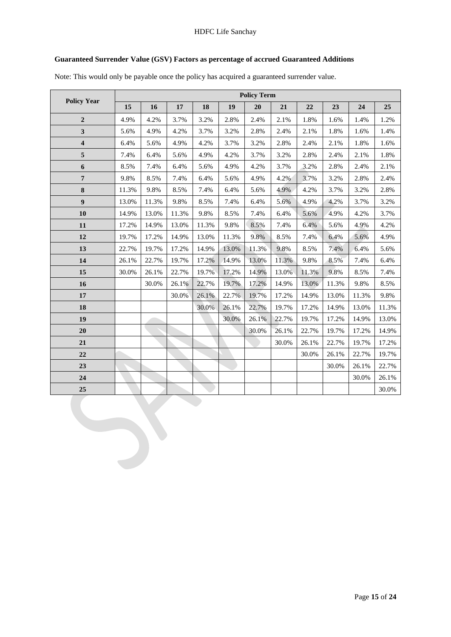## HDFC Life Sanchay

# **Guaranteed Surrender Value (GSV) Factors as percentage of accrued Guaranteed Additions**

Note: This would only be payable once the policy has acquired a guaranteed surrender value.

|                         |       | <b>Policy Term</b> |       |       |       |       |       |       |       |       |       |  |
|-------------------------|-------|--------------------|-------|-------|-------|-------|-------|-------|-------|-------|-------|--|
| <b>Policy Year</b>      | 15    | 16                 | 17    | 18    | 19    | 20    | 21    | 22    | 23    | 24    | 25    |  |
| $\overline{2}$          | 4.9%  | 4.2%               | 3.7%  | 3.2%  | 2.8%  | 2.4%  | 2.1%  | 1.8%  | 1.6%  | 1.4%  | 1.2%  |  |
| 3                       | 5.6%  | 4.9%               | 4.2%  | 3.7%  | 3.2%  | 2.8%  | 2.4%  | 2.1%  | 1.8%  | 1.6%  | 1.4%  |  |
| $\overline{\mathbf{4}}$ | 6.4%  | 5.6%               | 4.9%  | 4.2%  | 3.7%  | 3.2%  | 2.8%  | 2.4%  | 2.1%  | 1.8%  | 1.6%  |  |
| 5                       | 7.4%  | 6.4%               | 5.6%  | 4.9%  | 4.2%  | 3.7%  | 3.2%  | 2.8%  | 2.4%  | 2.1%  | 1.8%  |  |
| 6                       | 8.5%  | 7.4%               | 6.4%  | 5.6%  | 4.9%  | 4.2%  | 3.7%  | 3.2%  | 2.8%  | 2.4%  | 2.1%  |  |
| $\overline{7}$          | 9.8%  | 8.5%               | 7.4%  | 6.4%  | 5.6%  | 4.9%  | 4.2%  | 3.7%  | 3.2%  | 2.8%  | 2.4%  |  |
| 8                       | 11.3% | 9.8%               | 8.5%  | 7.4%  | 6.4%  | 5.6%  | 4.9%  | 4.2%  | 3.7%  | 3.2%  | 2.8%  |  |
| $\boldsymbol{9}$        | 13.0% | 11.3%              | 9.8%  | 8.5%  | 7.4%  | 6.4%  | 5.6%  | 4.9%  | 4.2%  | 3.7%  | 3.2%  |  |
| 10                      | 14.9% | 13.0%              | 11.3% | 9.8%  | 8.5%  | 7.4%  | 6.4%  | 5.6%  | 4.9%  | 4.2%  | 3.7%  |  |
| 11                      | 17.2% | 14.9%              | 13.0% | 11.3% | 9.8%  | 8.5%  | 7.4%  | 6.4%  | 5.6%  | 4.9%  | 4.2%  |  |
| 12                      | 19.7% | 17.2%              | 14.9% | 13.0% | 11.3% | 9.8%  | 8.5%  | 7.4%  | 6.4%  | 5.6%  | 4.9%  |  |
| 13                      | 22.7% | 19.7%              | 17.2% | 14.9% | 13.0% | 11.3% | 9.8%  | 8.5%  | 7.4%  | 6.4%  | 5.6%  |  |
| 14                      | 26.1% | 22.7%              | 19.7% | 17.2% | 14.9% | 13.0% | 11.3% | 9.8%  | 8.5%  | 7.4%  | 6.4%  |  |
| 15                      | 30.0% | 26.1%              | 22.7% | 19.7% | 17.2% | 14.9% | 13.0% | 11.3% | 9.8%  | 8.5%  | 7.4%  |  |
| 16                      |       | 30.0%              | 26.1% | 22.7% | 19.7% | 17.2% | 14.9% | 13.0% | 11.3% | 9.8%  | 8.5%  |  |
| 17                      |       |                    | 30.0% | 26.1% | 22.7% | 19.7% | 17.2% | 14.9% | 13.0% | 11.3% | 9.8%  |  |
| 18                      |       |                    |       | 30.0% | 26.1% | 22.7% | 19.7% | 17.2% | 14.9% | 13.0% | 11.3% |  |
| 19                      |       |                    |       |       | 30.0% | 26.1% | 22.7% | 19.7% | 17.2% | 14.9% | 13.0% |  |
| 20                      |       |                    |       |       |       | 30.0% | 26.1% | 22.7% | 19.7% | 17.2% | 14.9% |  |
| 21                      |       |                    |       |       |       |       | 30.0% | 26.1% | 22.7% | 19.7% | 17.2% |  |
| 22                      |       |                    |       |       |       |       |       | 30.0% | 26.1% | 22.7% | 19.7% |  |
| 23                      |       |                    |       |       |       |       |       |       | 30.0% | 26.1% | 22.7% |  |
| 24                      |       |                    |       |       |       |       |       |       |       | 30.0% | 26.1% |  |
| 25                      |       |                    |       |       |       |       |       |       |       |       | 30.0% |  |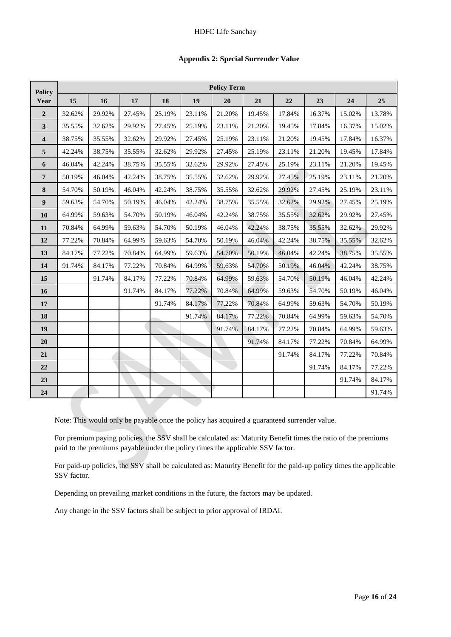| <b>Appendix 2: Special Surrender Value</b> |  |  |  |
|--------------------------------------------|--|--|--|
|--------------------------------------------|--|--|--|

| <b>Policy</b>           | <b>Policy Term</b> |        |        |        |        |        |        |        |        |        |        |
|-------------------------|--------------------|--------|--------|--------|--------|--------|--------|--------|--------|--------|--------|
| Year                    | 15                 | 16     | 17     | 18     | 19     | 20     | 21     | 22     | 23     | 24     | 25     |
| $\overline{2}$          | 32.62%             | 29.92% | 27.45% | 25.19% | 23.11% | 21.20% | 19.45% | 17.84% | 16.37% | 15.02% | 13.78% |
| 3                       | 35.55%             | 32.62% | 29.92% | 27.45% | 25.19% | 23.11% | 21.20% | 19.45% | 17.84% | 16.37% | 15.02% |
| $\overline{\mathbf{4}}$ | 38.75%             | 35.55% | 32.62% | 29.92% | 27.45% | 25.19% | 23.11% | 21.20% | 19.45% | 17.84% | 16.37% |
| 5                       | 42.24%             | 38.75% | 35.55% | 32.62% | 29.92% | 27.45% | 25.19% | 23.11% | 21.20% | 19.45% | 17.84% |
| 6                       | 46.04%             | 42.24% | 38.75% | 35.55% | 32.62% | 29.92% | 27.45% | 25.19% | 23.11% | 21.20% | 19.45% |
| 7                       | 50.19%             | 46.04% | 42.24% | 38.75% | 35.55% | 32.62% | 29.92% | 27.45% | 25.19% | 23.11% | 21.20% |
| 8                       | 54.70%             | 50.19% | 46.04% | 42.24% | 38.75% | 35.55% | 32.62% | 29.92% | 27.45% | 25.19% | 23.11% |
| $\boldsymbol{9}$        | 59.63%             | 54.70% | 50.19% | 46.04% | 42.24% | 38.75% | 35.55% | 32.62% | 29.92% | 27.45% | 25.19% |
| 10                      | 64.99%             | 59.63% | 54.70% | 50.19% | 46.04% | 42.24% | 38.75% | 35.55% | 32.62% | 29.92% | 27.45% |
| 11                      | 70.84%             | 64.99% | 59.63% | 54.70% | 50.19% | 46.04% | 42.24% | 38.75% | 35.55% | 32.62% | 29.92% |
| 12                      | 77.22%             | 70.84% | 64.99% | 59.63% | 54.70% | 50.19% | 46.04% | 42.24% | 38.75% | 35.55% | 32.62% |
| 13                      | 84.17%             | 77.22% | 70.84% | 64.99% | 59.63% | 54.70% | 50.19% | 46.04% | 42.24% | 38.75% | 35.55% |
| 14                      | 91.74%             | 84.17% | 77.22% | 70.84% | 64.99% | 59.63% | 54.70% | 50.19% | 46.04% | 42.24% | 38.75% |
| 15                      |                    | 91.74% | 84.17% | 77.22% | 70.84% | 64.99% | 59.63% | 54.70% | 50.19% | 46.04% | 42.24% |
| 16                      |                    |        | 91.74% | 84.17% | 77.22% | 70.84% | 64.99% | 59.63% | 54.70% | 50.19% | 46.04% |
| 17                      |                    |        |        | 91.74% | 84.17% | 77.22% | 70.84% | 64.99% | 59.63% | 54.70% | 50.19% |
| 18                      |                    |        |        |        | 91.74% | 84.17% | 77.22% | 70.84% | 64.99% | 59.63% | 54.70% |
| 19                      |                    |        |        |        |        | 91.74% | 84.17% | 77.22% | 70.84% | 64.99% | 59.63% |
| 20                      |                    |        |        |        |        |        | 91.74% | 84.17% | 77.22% | 70.84% | 64.99% |
| 21                      |                    |        |        |        |        |        |        | 91.74% | 84.17% | 77.22% | 70.84% |
| 22                      |                    |        |        |        |        |        |        |        | 91.74% | 84.17% | 77.22% |
| 23                      |                    |        |        |        |        |        |        |        |        | 91.74% | 84.17% |
| 24                      |                    |        |        |        |        |        |        |        |        |        | 91.74% |

Note: This would only be payable once the policy has acquired a guaranteed surrender value.

For premium paying policies, the SSV shall be calculated as: Maturity Benefit times the ratio of the premiums paid to the premiums payable under the policy times the applicable SSV factor.

For paid-up policies, the SSV shall be calculated as: Maturity Benefit for the paid-up policy times the applicable SSV factor.

Depending on prevailing market conditions in the future, the factors may be updated.

Any change in the SSV factors shall be subject to prior approval of IRDAI.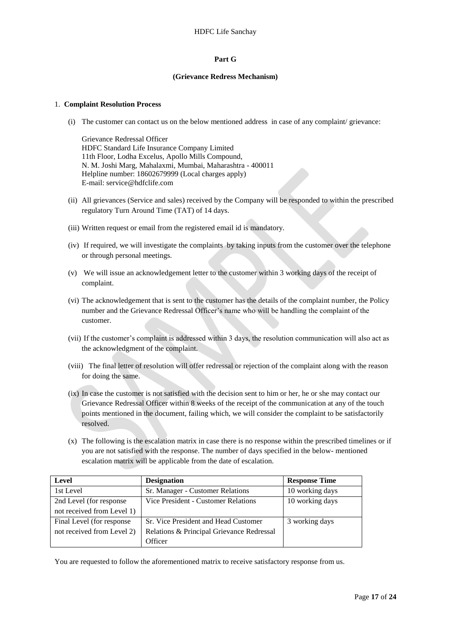### **Part G**

#### **(Grievance Redress Mechanism)**

### 1. **Complaint Resolution Process**

(i) The customer can contact us on the below mentioned address in case of any complaint/ grievance:

Grievance Redressal Officer HDFC Standard Life Insurance Company Limited 11th Floor, Lodha Excelus, Apollo Mills Compound, N. M. Joshi Marg, Mahalaxmi, Mumbai, Maharashtra - 400011 Helpline number: 18602679999 (Local charges apply) E-mail: service@hdfclife.com

- (ii) All grievances (Service and sales) received by the Company will be responded to within the prescribed regulatory Turn Around Time (TAT) of 14 days.
- (iii) Written request or email from the registered email id is mandatory.
- (iv) If required, we will investigate the complaints by taking inputs from the customer over the telephone or through personal meetings.
- (v) We will issue an acknowledgement letter to the customer within 3 working days of the receipt of complaint.
- (vi) The acknowledgement that is sent to the customer has the details of the complaint number, the Policy number and the Grievance Redressal Officer's name who will be handling the complaint of the customer.
- (vii) If the customer's complaint is addressed within 3 days, the resolution communication will also act as the acknowledgment of the complaint.
- (viii) The final letter of resolution will offer redressal or rejection of the complaint along with the reason for doing the same.
- (ix) In case the customer is not satisfied with the decision sent to him or her, he or she may contact our Grievance Redressal Officer within 8 weeks of the receipt of the communication at any of the touch points mentioned in the document, failing which, we will consider the complaint to be satisfactorily resolved.
- (x) The following is the escalation matrix in case there is no response within the prescribed timelines or if you are not satisfied with the response. The number of days specified in the below- mentioned escalation matrix will be applicable from the date of escalation.

| Level                                                          | <b>Designation</b>                        | <b>Response Time</b> |
|----------------------------------------------------------------|-------------------------------------------|----------------------|
| 1st Level                                                      | Sr. Manager - Customer Relations          | 10 working days      |
| 2nd Level (for response<br>Vice President - Customer Relations |                                           | 10 working days      |
| not received from Level 1)                                     |                                           |                      |
| Final Level (for response                                      | Sr. Vice President and Head Customer      | 3 working days       |
| not received from Level 2)                                     | Relations & Principal Grievance Redressal |                      |
|                                                                | Officer                                   |                      |

You are requested to follow the aforementioned matrix to receive satisfactory response from us.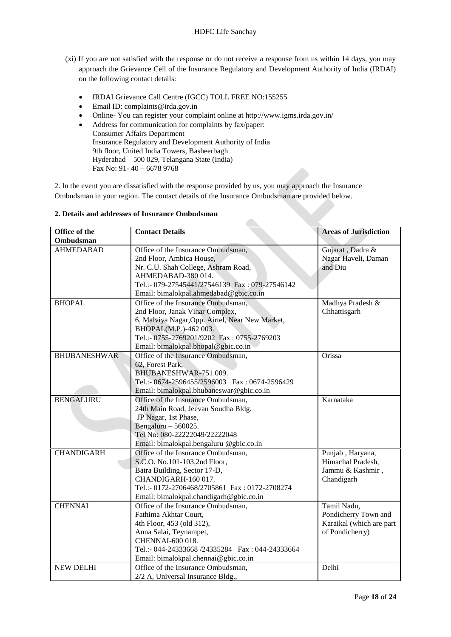- (xi) If you are not satisfied with the response or do not receive a response from us within 14 days, you may approach the Grievance Cell of the Insurance Regulatory and Development Authority of India (IRDAI) on the following contact details:
	- IRDAI Grievance Call Centre (IGCC) TOLL FREE NO:155255
	- Email ID: complaints@irda.gov.in
	- Online- You can register your complaint online at http://www.igms.irda.gov.in/
	- Address for communication for complaints by fax/paper: Consumer Affairs Department Insurance Regulatory and Development Authority of India 9th floor, United India Towers, Basheerbagh Hyderabad – 500 029, Telangana State (India) Fax No: 91- 40 – 6678 9768

2. In the event you are dissatisfied with the response provided by us, you may approach the Insurance Ombudsman in your region. The contact details of the Insurance Ombudsman are provided below.

 $\overline{\phantom{a}}$ 

## **2. Details and addresses of Insurance Ombudsman**

| Office of the<br>Ombudsman | <b>Contact Details</b>                                                       | <b>Areas of Jurisdiction</b>   |
|----------------------------|------------------------------------------------------------------------------|--------------------------------|
| <b>AHMEDABAD</b>           | Office of the Insurance Ombudsman,                                           |                                |
|                            |                                                                              | Gujarat, Dadra &               |
|                            | 2nd Floor, Ambica House,                                                     | Nagar Haveli, Daman<br>and Diu |
|                            | Nr. C.U. Shah College, Ashram Road,<br>AHMEDABAD-380014.                     |                                |
|                            | Tel.:- 079-27545441/27546139 Fax: 079-27546142                               |                                |
|                            |                                                                              |                                |
| <b>BHOPAL</b>              | Email: bimalokpal.ahmedabad@gbic.co.in<br>Office of the Insurance Ombudsman, |                                |
|                            |                                                                              | Madhya Pradesh &               |
|                            | 2nd Floor, Janak Vihar Complex,                                              | Chhattisgarh                   |
|                            | 6, Malviya Nagar, Opp. Airtel, Near New Market,                              |                                |
|                            | BHOPAL(M.P.)-462 003.<br>Tel.:- 0755-2769201/9202 Fax: 0755-2769203          |                                |
|                            |                                                                              |                                |
| <b>BHUBANESHWAR</b>        | Email: bimalokpal.bhopal@gbic.co.in<br>Office of the Insurance Ombudsman,    | Orissa                         |
|                            | 62, Forest Park,                                                             |                                |
|                            | BHUBANESHWAR-751 009.                                                        |                                |
|                            | Tel.:- 0674-2596455/2596003 Fax: 0674-2596429                                |                                |
|                            | Email: bimalokpal.bhubaneswar@gbic.co.in                                     |                                |
| <b>BENGALURU</b>           | Office of the Insurance Ombudsman,                                           | Karnataka                      |
|                            | 24th Main Road, Jeevan Soudha Bldg.                                          |                                |
|                            | JP Nagar, 1st Phase,                                                         |                                |
|                            | Bengaluru $-560025$ .                                                        |                                |
|                            | Tel No: 080-22222049/22222048                                                |                                |
|                            | Email: bimalokpal.bengaluru @gbic.co.in                                      |                                |
| <b>CHANDIGARH</b>          | Office of the Insurance Ombudsman,                                           | Punjab, Haryana,               |
|                            | S.C.O. No.101-103,2nd Floor,                                                 | Himachal Pradesh,              |
|                            | Batra Building, Sector 17-D,                                                 | Jammu & Kashmir,               |
|                            | CHANDIGARH-160 017.                                                          | Chandigarh                     |
|                            | Tel.:- 0172-2706468/2705861 Fax: 0172-2708274                                |                                |
|                            | Email: bimalokpal.chandigarh@gbic.co.in                                      |                                |
| <b>CHENNAI</b>             | Office of the Insurance Ombudsman,                                           | Tamil Nadu,                    |
|                            | Fathima Akhtar Court,                                                        | Pondicherry Town and           |
|                            | 4th Floor, 453 (old 312),                                                    | Karaikal (which are part       |
|                            | Anna Salai, Teynampet,                                                       | of Pondicherry)                |
|                            | CHENNAI-600 018.                                                             |                                |
|                            | Tel.:- 044-24333668 /24335284  Fax: 044-24333664                             |                                |
|                            | Email: bimalokpal.chennai@gbic.co.in                                         |                                |
| <b>NEW DELHI</b>           | Office of the Insurance Ombudsman,                                           | Delhi                          |
|                            | 2/2 A, Universal Insurance Bldg.,                                            |                                |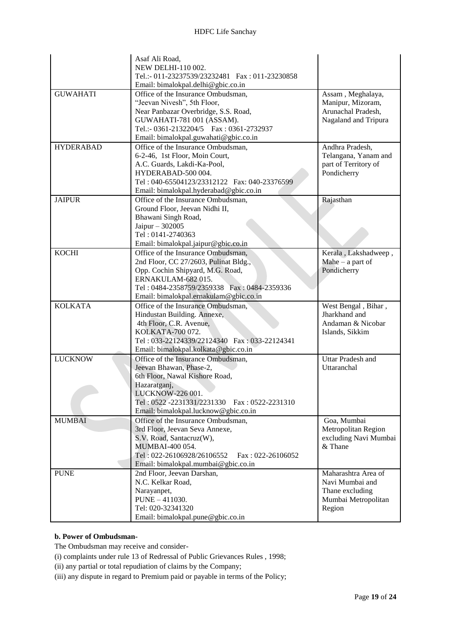|                  | Asaf Ali Road,<br>NEW DELHI-110 002.<br>Tel.:- 011-23237539/23232481   Fax: 011-23230858<br>Email: bimalokpal.delhi@gbic.co.in                                                                                                |                                                                                            |
|------------------|-------------------------------------------------------------------------------------------------------------------------------------------------------------------------------------------------------------------------------|--------------------------------------------------------------------------------------------|
| <b>GUWAHATI</b>  | Office of the Insurance Ombudsman,<br>"Jeevan Nivesh", 5th Floor,<br>Near Panbazar Overbridge, S.S. Road,<br>GUWAHATI-781 001 (ASSAM).<br>Tel.:- 0361-2132204/5  Fax: 0361-2732937<br>Email: bimalokpal.guwahati@gbic.co.in   | Assam, Meghalaya,<br>Manipur, Mizoram,<br>Arunachal Pradesh,<br>Nagaland and Tripura       |
| <b>HYDERABAD</b> | Office of the Insurance Ombudsman,<br>6-2-46, 1st Floor, Moin Court,<br>A.C. Guards, Lakdi-Ka-Pool,<br>HYDERABAD-500 004.<br>Tel: 040-65504123/23312122   Fax: 040-23376599<br>Email: bimalokpal.hyderabad@gbic.co.in         | Andhra Pradesh,<br>Telangana, Yanam and<br>part of Territory of<br>Pondicherry             |
| <b>JAIPUR</b>    | Office of the Insurance Ombudsman,<br>Ground Floor, Jeevan Nidhi II,<br>Bhawani Singh Road,<br>Jaipur - 302005<br>Tel: 0141-2740363<br>Email: bimalokpal.jaipur@gbic.co.in                                                    | Rajasthan                                                                                  |
| <b>KOCHI</b>     | Office of the Insurance Ombudsman,<br>2nd Floor, CC 27/2603, Pulinat Bldg.,<br>Opp. Cochin Shipyard, M.G. Road,<br>ERNAKULAM-682015.<br>Tel: 0484-2358759/2359338 Fax: 0484-2359336<br>Email: bimalokpal.ernakulam@gbic.co.in | Kerala, Lakshadweep,<br>Mahe $-$ a part of<br>Pondicherry                                  |
| <b>KOLKATA</b>   | Office of the Insurance Ombudsman,<br>Hindustan Building. Annexe,<br>4th Floor, C.R. Avenue,<br>KOLKATA-700 072.<br>Tel: 033-22124339/22124340 Fax: 033-22124341<br>Email: bimalokpal.kolkata@gbic.co.in                      | West Bengal, Bihar,<br>Jharkhand and<br>Andaman & Nicobar<br>Islands, Sikkim               |
| <b>LUCKNOW</b>   | Office of the Insurance Ombudsman,<br>Jeevan Bhawan, Phase-2,<br>6th Floor, Nawal Kishore Road,<br>Hazaratganj,<br>LUCKNOW-226 001.<br>Tel: 0522-2231331/2231330 Fax: 0522-2231310<br>Email: bimalokpal.lucknow@gbic.co.in    | <b>Uttar Pradesh and</b><br>Uttaranchal                                                    |
| <b>MUMBAI</b>    | Office of the Insurance Ombudsman,<br>3rd Floor, Jeevan Seva Annexe,<br>S.V. Road, Santacruz(W),<br>MUMBAI-400 054.<br>Tel: 022-26106928/26106552<br>$Fax: 022-26106052$<br>Email: bimalokpal.mumbai@gbic.co.in               | Goa, Mumbai<br>Metropolitan Region<br>excluding Navi Mumbai<br>& Thane                     |
| <b>PUNE</b>      | 2nd Floor, Jeevan Darshan,<br>N.C. Kelkar Road,<br>Narayanpet,<br>PUNE - 411030.<br>Tel: 020-32341320<br>Email: bimalokpal.pune@gbic.co.in                                                                                    | Maharashtra Area of<br>Navi Mumbai and<br>Thane excluding<br>Mumbai Metropolitan<br>Region |

## **b. Power of Ombudsman-**

The Ombudsman may receive and consider-

- [\(i\)](http://indiankanoon.org/doc/160521836/) complaints under rule 13 of Redressal of Public Grievances Rules , 1998;
- [\(ii\)](http://indiankanoon.org/doc/156757242/) any partial or total repudiation of claims by the Company;
- [\(iii\)](http://indiankanoon.org/doc/163591613/) any dispute in regard to Premium paid or payable in terms of the Policy;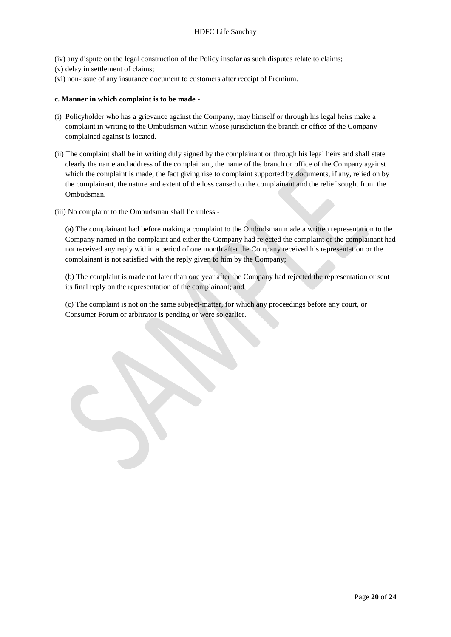- [\(iv\)](http://indiankanoon.org/doc/31367799/) any dispute on the legal construction of the Policy insofar as such disputes relate to claims;
- [\(v\)](http://indiankanoon.org/doc/26463888/) delay in settlement of claims;
- [\(vi\)](http://indiankanoon.org/doc/47238858/) non-issue of any insurance document to customers after receipt of Premium.

### **c. Manner in which complaint is to be made -**

- [\(i\)](http://indiankanoon.org/doc/160481793/) Policyholder who has a grievance against the Company, may himself or through his legal heirs make a complaint in writing to the Ombudsman within whose jurisdiction the branch or office of the Company complained against is located.
- [\(ii\)](http://indiankanoon.org/doc/116915928/) The complaint shall be in writing duly signed by the complainant or through his legal heirs and shall state clearly the name and address of the complainant, the name of the branch or office of the Company against which the complaint is made, the fact giving rise to complaint supported by documents, if any, relied on by the complainant, the nature and extent of the loss caused to the complainant and the relief sought from the Ombudsman.
- [\(iii\)](http://indiankanoon.org/doc/99464357/) No complaint to the Ombudsman shall lie unless -

[\(a\)](http://indiankanoon.org/doc/87794950/) The complainant had before making a complaint to the Ombudsman made a written representation to the Company named in the complaint and either the Company had rejected the complaint or the complainant had not received any reply within a period of one month after the Company received his representation or the complainant is not satisfied with the reply given to him by the Company;

[\(b\)](http://indiankanoon.org/doc/84880221/) The complaint is made not later than one year after the Company had rejected the representation or sent its final reply on the representation of the complainant; and

[\(c\)](http://indiankanoon.org/doc/116794480/) The complaint is not on the same subject-matter, for which any proceedings before any court, or Consumer Forum or arbitrator is pending or were so earlier.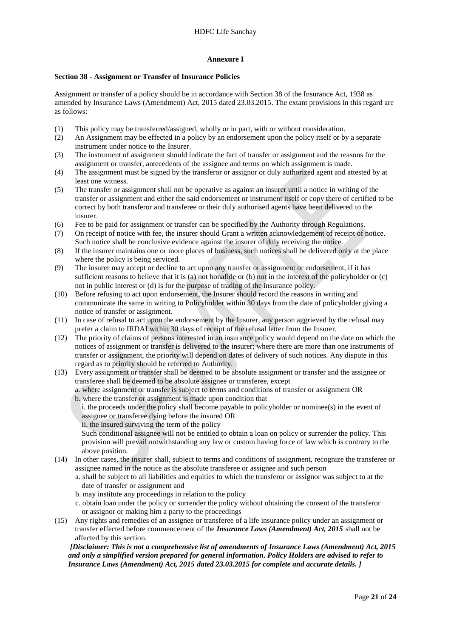## **Annexure I**

## **Section 38 - Assignment or Transfer of Insurance Policies**

Assignment or transfer of a policy should be in accordance with Section 38 of the Insurance Act, 1938 as amended by Insurance Laws (Amendment) Act, 2015 dated 23.03.2015. The extant provisions in this regard are as follows:

- (1) This policy may be transferred/assigned, wholly or in part, with or without consideration.
- (2) An Assignment may be effected in a policy by an endorsement upon the policy itself or by a separate instrument under notice to the Insurer.
- (3) The instrument of assignment should indicate the fact of transfer or assignment and the reasons for the assignment or transfer, antecedents of the assignee and terms on which assignment is made.
- (4) The assignment must be signed by the transferor or assignor or duly authorized agent and attested by at least one witness.
- (5) The transfer or assignment shall not be operative as against an insurer until a notice in writing of the transfer or assignment and either the said endorsement or instrument itself or copy there of certified to be correct by both transferor and transferee or their duly authorised agents have been delivered to the insurer.
- (6) Fee to be paid for assignment or transfer can be specified by the Authority through Regulations.
- (7) On receipt of notice with fee, the insurer should Grant a written acknowledgement of receipt of notice. Such notice shall be conclusive evidence against the insurer of duly receiving the notice.
- (8) If the insurer maintains one or more places of business, such notices shall be delivered only at the place where the policy is being serviced.
- (9) The insurer may accept or decline to act upon any transfer or assignment or endorsement, if it has sufficient reasons to believe that it is (a) not bonafide or (b) not in the interest of the policyholder or (c) not in public interest or (d) is for the purpose of trading of the insurance policy.
- (10) Before refusing to act upon endorsement, the Insurer should record the reasons in writing and communicate the same in writing to Policyholder within 30 days from the date of policyholder giving a notice of transfer or assignment.
- (11) In case of refusal to act upon the endorsement by the Insurer, any person aggrieved by the refusal may prefer a claim to IRDAI within 30 days of receipt of the refusal letter from the Insurer.
- (12) The priority of claims of persons interested in an insurance policy would depend on the date on which the notices of assignment or transfer is delivered to the insurer; where there are more than one instruments of transfer or assignment, the priority will depend on dates of delivery of such notices. Any dispute in this regard as to priority should be referred to Authority.
- (13) Every assignment or transfer shall be deemed to be absolute assignment or transfer and the assignee or transferee shall be deemed to be absolute assignee or transferee, except

a. where assignment or transfer is subject to terms and conditions of transfer or assignment OR b. where the transfer or assignment is made upon condition that

- i. the proceeds under the policy shall become payable to policyholder or nominee(s) in the event of assignee or transferee dying before the insured OR
- ii. the insured surviving the term of the policy

Such conditional assignee will not be entitled to obtain a loan on policy or surrender the policy. This provision will prevail notwithstanding any law or custom having force of law which is contrary to the above position.

- (14) In other cases, the insurer shall, subject to terms and conditions of assignment, recognize the transferee or assignee named in the notice as the absolute transferee or assignee and such person
	- a. shall be subject to all liabilities and equities to which the transferor or assignor was subject to at the date of transfer or assignment and
	- b. may institute any proceedings in relation to the policy
	- c. obtain loan under the policy or surrender the policy without obtaining the consent of the transferor or assignor or making him a party to the proceedings
- (15) Any rights and remedies of an assignee or transferee of a life insurance policy under an assignment or transfer effected before commencement of the *Insurance Laws (Amendment) Act, 2015* shall not be affected by this section.

*[Disclaimer: This is not a comprehensive list of amendments of Insurance Laws (Amendment) Act, 2015 and only a simplified version prepared for general information. Policy Holders are advised to refer to Insurance Laws (Amendment) Act, 2015 dated 23.03.2015 for complete and accurate details. ]*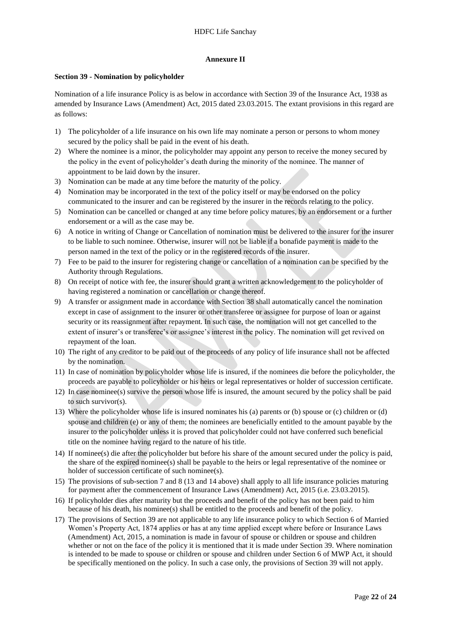## **Annexure II**

## **Section 39 - Nomination by policyholder**

Nomination of a life insurance Policy is as below in accordance with Section 39 of the Insurance Act, 1938 as amended by Insurance Laws (Amendment) Act, 2015 dated 23.03.2015. The extant provisions in this regard are as follows:

- 1) The policyholder of a life insurance on his own life may nominate a person or persons to whom money secured by the policy shall be paid in the event of his death.
- 2) Where the nominee is a minor, the policyholder may appoint any person to receive the money secured by the policy in the event of policyholder's death during the minority of the nominee. The manner of appointment to be laid down by the insurer.
- 3) Nomination can be made at any time before the maturity of the policy.
- 4) Nomination may be incorporated in the text of the policy itself or may be endorsed on the policy communicated to the insurer and can be registered by the insurer in the records relating to the policy.
- 5) Nomination can be cancelled or changed at any time before policy matures, by an endorsement or a further endorsement or a will as the case may be.
- 6) A notice in writing of Change or Cancellation of nomination must be delivered to the insurer for the insurer to be liable to such nominee. Otherwise, insurer will not be liable if a bonafide payment is made to the person named in the text of the policy or in the registered records of the insurer.
- 7) Fee to be paid to the insurer for registering change or cancellation of a nomination can be specified by the Authority through Regulations.
- 8) On receipt of notice with fee, the insurer should grant a written acknowledgement to the policyholder of having registered a nomination or cancellation or change thereof.
- 9) A transfer or assignment made in accordance with Section 38 shall automatically cancel the nomination except in case of assignment to the insurer or other transferee or assignee for purpose of loan or against security or its reassignment after repayment. In such case, the nomination will not get cancelled to the extent of insurer's or transferee's or assignee's interest in the policy. The nomination will get revived on repayment of the loan.
- 10) The right of any creditor to be paid out of the proceeds of any policy of life insurance shall not be affected by the nomination.
- 11) In case of nomination by policyholder whose life is insured, if the nominees die before the policyholder, the proceeds are payable to policyholder or his heirs or legal representatives or holder of succession certificate.
- 12) In case nominee(s) survive the person whose life is insured, the amount secured by the policy shall be paid to such survivor(s).
- 13) Where the policyholder whose life is insured nominates his (a) parents or (b) spouse or (c) children or (d) spouse and children (e) or any of them; the nominees are beneficially entitled to the amount payable by the insurer to the policyholder unless it is proved that policyholder could not have conferred such beneficial title on the nominee having regard to the nature of his title.
- 14) If nominee(s) die after the policyholder but before his share of the amount secured under the policy is paid, the share of the expired nominee(s) shall be payable to the heirs or legal representative of the nominee or holder of succession certificate of such nominee(s).
- 15) The provisions of sub-section 7 and 8 (13 and 14 above) shall apply to all life insurance policies maturing for payment after the commencement of Insurance Laws (Amendment) Act, 2015 (i.e. 23.03.2015).
- 16) If policyholder dies after maturity but the proceeds and benefit of the policy has not been paid to him because of his death, his nominee(s) shall be entitled to the proceeds and benefit of the policy.
- 17) The provisions of Section 39 are not applicable to any life insurance policy to which Section 6 of Married Women's Property Act, 1874 applies or has at any time applied except where before or Insurance Laws (Amendment) Act, 2015, a nomination is made in favour of spouse or children or spouse and children whether or not on the face of the policy it is mentioned that it is made under Section 39. Where nomination is intended to be made to spouse or children or spouse and children under Section 6 of MWP Act, it should be specifically mentioned on the policy. In such a case only, the provisions of Section 39 will not apply.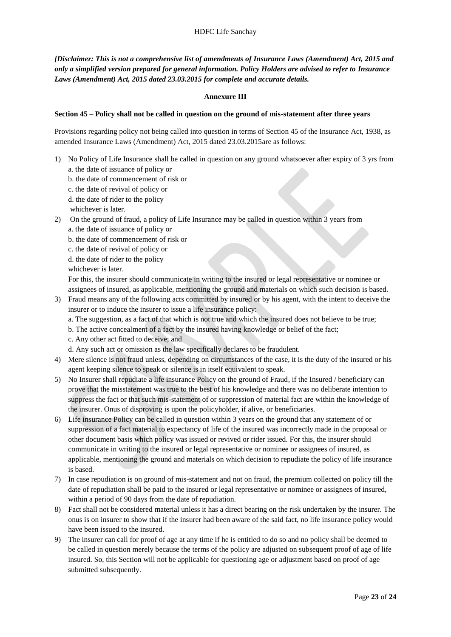*[Disclaimer: This is not a comprehensive list of amendments of Insurance Laws (Amendment) Act, 2015 and only a simplified version prepared for general information. Policy Holders are advised to refer to Insurance Laws (Amendment) Act, 2015 dated 23.03.2015 for complete and accurate details.*

## **Annexure III**

## **Section 45 – Policy shall not be called in question on the ground of mis-statement after three years**

Provisions regarding policy not being called into question in terms of Section 45 of the Insurance Act, 1938, as amended Insurance Laws (Amendment) Act, 2015 dated 23.03.2015are as follows:

- 1) No Policy of Life Insurance shall be called in question on any ground whatsoever after expiry of 3 yrs from a. the date of issuance of policy or
	- b. the date of commencement of risk or
	- c. the date of revival of policy or
	- d. the date of rider to the policy
	- whichever is later.
- 2) On the ground of fraud, a policy of Life Insurance may be called in question within 3 years from a. the date of issuance of policy or
	- b. the date of commencement of risk or
	- c. the date of revival of policy or
	- d. the date of rider to the policy
	- whichever is later.

For this, the insurer should communicate in writing to the insured or legal representative or nominee or assignees of insured, as applicable, mentioning the ground and materials on which such decision is based.

- 3) Fraud means any of the following acts committed by insured or by his agent, with the intent to deceive the insurer or to induce the insurer to issue a life insurance policy:
	- a. The suggestion, as a fact of that which is not true and which the insured does not believe to be true;
	- b. The active concealment of a fact by the insured having knowledge or belief of the fact;
	- c. Any other act fitted to deceive; and

d. Any such act or omission as the law specifically declares to be fraudulent.

- 4) Mere silence is not fraud unless, depending on circumstances of the case, it is the duty of the insured or his agent keeping silence to speak or silence is in itself equivalent to speak.
- 5) No Insurer shall repudiate a life insurance Policy on the ground of Fraud, if the Insured / beneficiary can prove that the misstatement was true to the best of his knowledge and there was no deliberate intention to suppress the fact or that such mis-statement of or suppression of material fact are within the knowledge of the insurer. Onus of disproving is upon the policyholder, if alive, or beneficiaries.
- 6) Life insurance Policy can be called in question within 3 years on the ground that any statement of or suppression of a fact material to expectancy of life of the insured was incorrectly made in the proposal or other document basis which policy was issued or revived or rider issued. For this, the insurer should communicate in writing to the insured or legal representative or nominee or assignees of insured, as applicable, mentioning the ground and materials on which decision to repudiate the policy of life insurance is based.
- 7) In case repudiation is on ground of mis-statement and not on fraud, the premium collected on policy till the date of repudiation shall be paid to the insured or legal representative or nominee or assignees of insured, within a period of 90 days from the date of repudiation.
- 8) Fact shall not be considered material unless it has a direct bearing on the risk undertaken by the insurer. The onus is on insurer to show that if the insurer had been aware of the said fact, no life insurance policy would have been issued to the insured.
- 9) The insurer can call for proof of age at any time if he is entitled to do so and no policy shall be deemed to be called in question merely because the terms of the policy are adjusted on subsequent proof of age of life insured. So, this Section will not be applicable for questioning age or adjustment based on proof of age submitted subsequently.